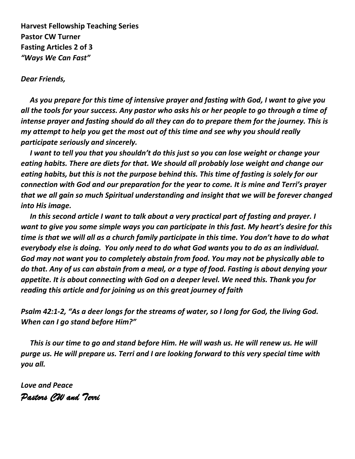**Harvest Fellowship Teaching Series Pastor CW Turner Fasting Articles 2 of 3** *"Ways We Can Fast"*

*Dear Friends,*

 *As you prepare for this time of intensive prayer and fasting with God, I want to give you all the tools for your success. Any pastor who asks his or her people to go through a time of intense prayer and fasting should do all they can do to prepare them for the journey. This is my attempt to help you get the most out of this time and see why you should really participate seriously and sincerely.*

 *I want to tell you that you shouldn't do this just so you can lose weight or change your eating habits. There are diets for that. We should all probably lose weight and change our eating habits, but this is not the purpose behind this. This time of fasting is solely for our connection with God and our preparation for the year to come. It is mine and Terri's prayer that we all gain so much Spiritual understanding and insight that we will be forever changed into His image.*

 *In this second article I want to talk about a very practical part of fasting and prayer. I want to give you some simple ways you can participate in this fast. My heart's desire for this time is that we will all as a church family participate in this time. You don't have to do what everybody else is doing. You only need to do what God wants you to do as an individual. God may not want you to completely abstain from food. You may not be physically able to do that. Any of us can abstain from a meal, or a type of food. Fasting is about denying your appetite. It is about connecting with God on a deeper level. We need this. Thank you for reading this article and for joining us on this great journey of faith*

*Psalm 42:1-2, "As a deer longs for the streams of water, so I long for God, the living God. When can I go stand before Him?"*

 *This is our time to go and stand before Him. He will wash us. He will renew us. He will purge us. He will prepare us. Terri and I are looking forward to this very special time with you all.*

*Love and Peace Pastors CW and Terri*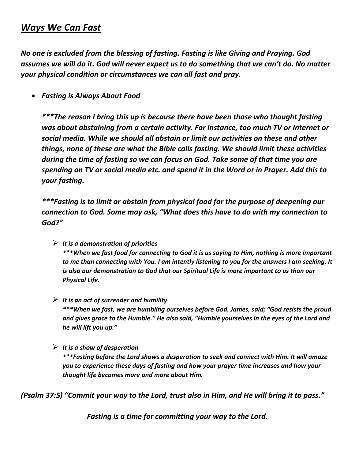# *Ways We Can Fast*

*No one is excluded from the blessing of fasting. Fasting is like Giving and Praying. God assumes we will do it. God will never expect us to do something that we can't do. No matter your physical condition or circumstances we can all fast and pray.* 

• *Fasting is Always About Food*

*\*\*\*The reason I bring this up is because there have been those who thought fasting was about abstaining from a certain activity. For instance, too much TV or Internet or social media. While we should all abstain or limit our activities on these and other things, none of these are what the Bible calls fasting. We should limit these activities during the time of fasting so we can focus on God. Take some of that time you are spending on TV or social media etc. and spend it in the Word or in Prayer. Add this to your fasting.*

*\*\*\*Fasting is to limit or abstain from physical food for the purpose of deepening our connection to God. Some may ask, "What does this have to do with my connection to God?"* 

- ➢ *It is a demonstration of priorities \*\*\*When we fast food for connecting to God it is us saying to Him, nothing is more important to me than connecting with You. I am intently listening to you for the answers I am seeking. It is also our demonstration to God that our Spiritual Life is more important to us than our Physical Life.*
- ➢ *It is an act of surrender and humility \*\*\*When we fast, we are humbling ourselves before God. James, said; "God resists the proud and gives grace to the Humble." He also said, "Humble yourselves in the eyes of the Lord and he will lift you up."*
- ➢ *It is a show of desperation*

*\*\*\*Fasting before the Lord shows a desperation to seek and connect with Him. It will amaze you to experience these days of fasting and how your prayer time increases and how your thought life becomes more and more about Him.*

*(Psalm 37:5) "Commit your way to the Lord, trust also in Him, and He will bring it to pass."*

*Fasting is a time for committing your way to the Lord.*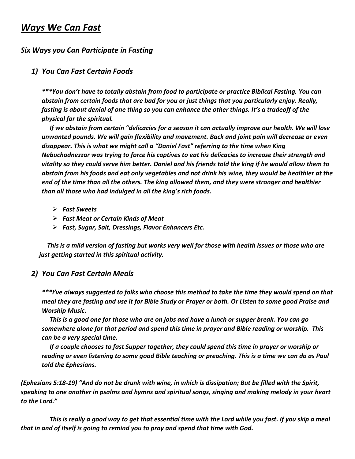## *Ways We Can Fast*

## *Six Ways you Can Participate in Fasting*

### *1) You Can Fast Certain Foods*

*\*\*\*You don't have to totally abstain from food to participate or practice Biblical Fasting. You can abstain from certain foods that are bad for you or just things that you particularly enjoy. Really, fasting is about denial of one thing so you can enhance the other things. It's a tradeoff of the physical for the spiritual.*

 *If we abstain from certain "delicacies for a season it can actually improve our health. We will lose unwanted pounds. We will gain flexibility and movement. Back and joint pain will decrease or even disappear. This is what we might call a "Daniel Fast" referring to the time when King Nebuchadnezzar was trying to force his captives to eat his delicacies to increase their strength and vitality so they could serve him better. Daniel and his friends told the king if he would allow them to abstain from his foods and eat only vegetables and not drink his wine, they would be healthier at the end of the time than all the others. The king allowed them, and they were stronger and healthier than all those who had indulged in all the king's rich foods.* 

- ➢ *Fast Sweets*
- ➢ *Fast Meat or Certain Kinds of Meat*
- ➢ *Fast, Sugar, Salt, Dressings, Flavor Enhancers Etc.*

 *This is a mild version of fasting but works very well for those with health issues or those who are just getting started in this spiritual activity.*

#### *2) You Can Fast Certain Meals*

*\*\*\*I've always suggested to folks who choose this method to take the time they would spend on that meal they are fasting and use it for Bible Study or Prayer or both. Or Listen to some good Praise and Worship Music.*

 *This is a good one for those who are on jobs and have a lunch or supper break. You can go somewhere alone for that period and spend this time in prayer and Bible reading or worship. This can be a very special time.*

 *If a couple chooses to fast Supper together, they could spend this time in prayer or worship or reading or even listening to some good Bible teaching or preaching. This is a time we can do as Paul told the Ephesians.*

*(Ephesians 5:18-19) "And do not be drunk with wine, in which is dissipation; But be filled with the Spirit, speaking to one another in psalms and hymns and spiritual songs, singing and making melody in your heart to the Lord."*

 *This is really a good way to get that essential time with the Lord while you fast. If you skip a meal that in and of itself is going to remind you to pray and spend that time with God.*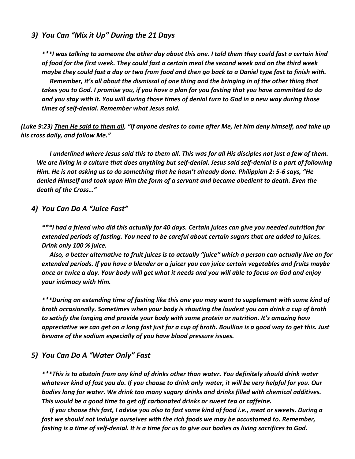#### *3) You Can "Mix it Up" During the 21 Days*

*\*\*\*I was talking to someone the other day about this one. I told them they could fast a certain kind of food for the first week. They could fast a certain meal the second week and on the third week maybe they could fast a day or two from food and then go back to a Daniel type fast to finish with. Remember, it's all about the dismissal of one thing and the bringing in of the other thing that takes you to God. I promise you, if you have a plan for you fasting that you have committed to do and you stay with it. You will during those times of denial turn to God in a new way during those times of self-denial. Remember what Jesus said.*

*(Luke 9:23) Then He said to them all, "If anyone desires to come after Me, let him deny himself, and take up his cross daily, and follow Me."*

 *I underlined where Jesus said this to them all. This was for all His disciples not just a few of them. We are living in a culture that does anything but self-denial. Jesus said self-denial is a part of following Him. He is not asking us to do something that he hasn't already done. Philippian 2: 5-6 says, "He denied Himself and took upon Him the form of a servant and became obedient to death. Even the death of the Cross…"*

#### *4) You Can Do A "Juice Fast"*

*\*\*\*I had a friend who did this actually for 40 days. Certain juices can give you needed nutrition for extended periods of fasting. You need to be careful about certain sugars that are added to juices. Drink only 100 % juice.* 

 *Also, a better alternative to fruit juices is to actually "juice" which a person can actually live on for extended periods. If you have a blender or a juicer you can juice certain vegetables and fruits maybe once or twice a day. Your body will get what it needs and you will able to focus on God and enjoy your intimacy with Him.*

*\*\*\*During an extending time of fasting like this one you may want to supplement with some kind of broth occasionally. Sometimes when your body is shouting the loudest you can drink a cup of broth to satisfy the longing and provide your body with some protein or nutrition. It's amazing how appreciative we can get on a long fast just for a cup of broth. Boullion is a good way to get this. Just beware of the sodium especially of you have blood pressure issues.* 

#### *5) You Can Do A "Water Only" Fast*

*\*\*\*This is to abstain from any kind of drinks other than water. You definitely should drink water whatever kind of fast you do. If you choose to drink only water, it will be very helpful for you. Our bodies long for water. We drink too many sugary drinks and drinks filled with chemical additives. This would be a good time to get off carbonated drinks or sweet tea or caffeine.* 

 *If you choose this fast, I advise you also to fast some kind of food i.e., meat or sweets. During a fast we should not indulge ourselves with the rich foods we may be accustomed to. Remember, fasting is a time of self-denial. It is a time for us to give our bodies as living sacrifices to God.*